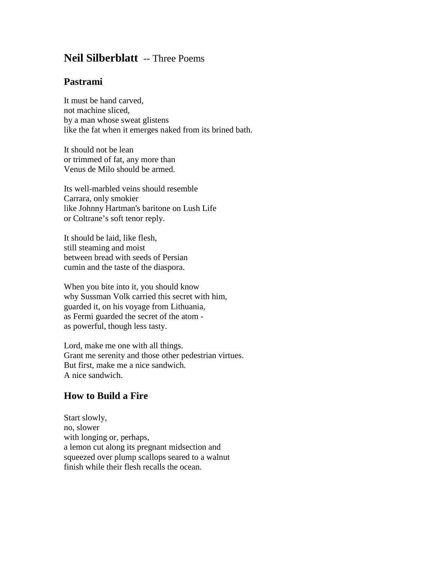## **Neil Silberblatt** -- Three Poems

## **Pastrami**

It must be hand carved, not machine sliced, by a man whose sweat glistens like the fat when it emerges naked from its brined bath.

It should not be lean or trimmed of fat, any more than Venus de Milo should be armed.

Its well-marbled veins should resemble Carrara, only smokier like Johnny Hartman's baritone on Lush Life or Coltrane's soft tenor reply.

It should be laid, like flesh, still steaming and moist between bread with seeds of Persian cumin and the taste of the diaspora.

When you bite into it, you should know why Sussman Volk carried this secret with him, guarded it, on his voyage from Lithuania, as Fermi guarded the secret of the atom as powerful, though less tasty.

Lord, make me one with all things. Grant me serenity and those other pedestrian virtues. But first, make me a nice sandwich. A nice sandwich.

## **How to Build a Fire**

Start slowly, no, slower with longing or, perhaps, a lemon cut along its pregnant midsection and squeezed over plump scallops seared to a walnut finish while their flesh recalls the ocean.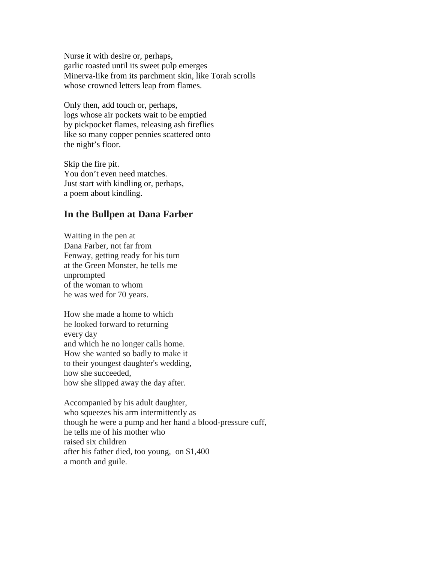Nurse it with desire or, perhaps, garlic roasted until its sweet pulp emerges Minerva-like from its parchment skin, like Torah scrolls whose crowned letters leap from flames.

Only then, add touch or, perhaps, logs whose air pockets wait to be emptied by pickpocket flames, releasing ash fireflies like so many copper pennies scattered onto the night's floor.

Skip the fire pit. You don't even need matches. Just start with kindling or, perhaps, a poem about kindling.

## **In the Bullpen at Dana Farber**

Waiting in the pen at Dana Farber, not far from Fenway, getting ready for his turn at the Green Monster, he tells me unprompted of the woman to whom he was wed for 70 years.

How she made a home to which he looked forward to returning every day and which he no longer calls home. How she wanted so badly to make it to their youngest daughter's wedding, how she succeeded, how she slipped away the day after.

Accompanied by his adult daughter, who squeezes his arm intermittently as though he were a pump and her hand a blood-pressure cuff, he tells me of his mother who raised six children after his father died, too young, on \$1,400 a month and guile.